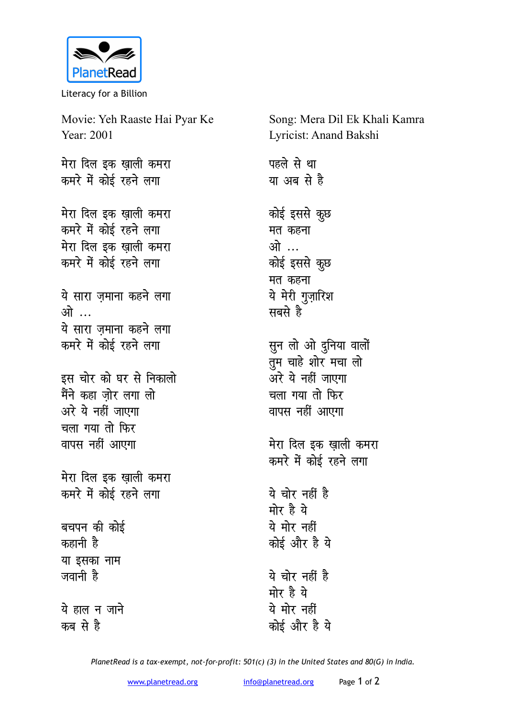

Literacy for a Billion

Movie: Yeh Raaste Hai Pyar Ke Year: 2001

मेरा दिल **इक खाली** कमरा कमरे में कोई रहने लगा

मेरा दिल इक खाली कमरा कमरे में कोई रहने लगा मेरा दिल इक खाली कमरा कमरे में कोई रहने लगा

ये सारा जमाना कहने लगा <u>ओ …</u> ये सारा ज़माना कहने लगा कमरे में कोई रहने लगा

इस चोर को घर से निकाल<u>ो</u> मैंने कहा ज़ोर लगा लो अरे ये नहीं जाएगा <u>चला गया तो फिर</u> वापस नहीं आएगा

**मेरा दिल इक ख़ाली कमरा** कमरे में कोई रहने लगा

बचपन की कोई कहानी है या इसका नाम जवानी है

<u>ये हाल न जाने</u> कब से है

Song: Mera Dil Ek Khali Kamra Lyricist: Anand Bakshi

पहले से था या अब से है *कोई इससे कु*छ मत कहना <u>ओे ...</u> <u>कोई इससे क</u>ुछ

मत कहना ये मेरी गुज़ारिश सबसे है

सुन लो ओ दुनिया वालों तुम चाहे शोर मचा लो अरे ये नहीं जाएगा <u>चला गया तो फिर</u> **a**luस नहीं आएगा

मेरा दिल इक खाली कमरा कमरे में कोई रहने लगा

ये चोर नहीं है **मोर** है ये ये मोर नहीं <u>कोई और है ये</u>

ये चोर नहीं है **मोर है** ये ये मोर नहीं कोई और है ये

*PlanetRead is a tax-exempt, not-for-profit: 501(c) (3) in the United States and 80(G) in India.*